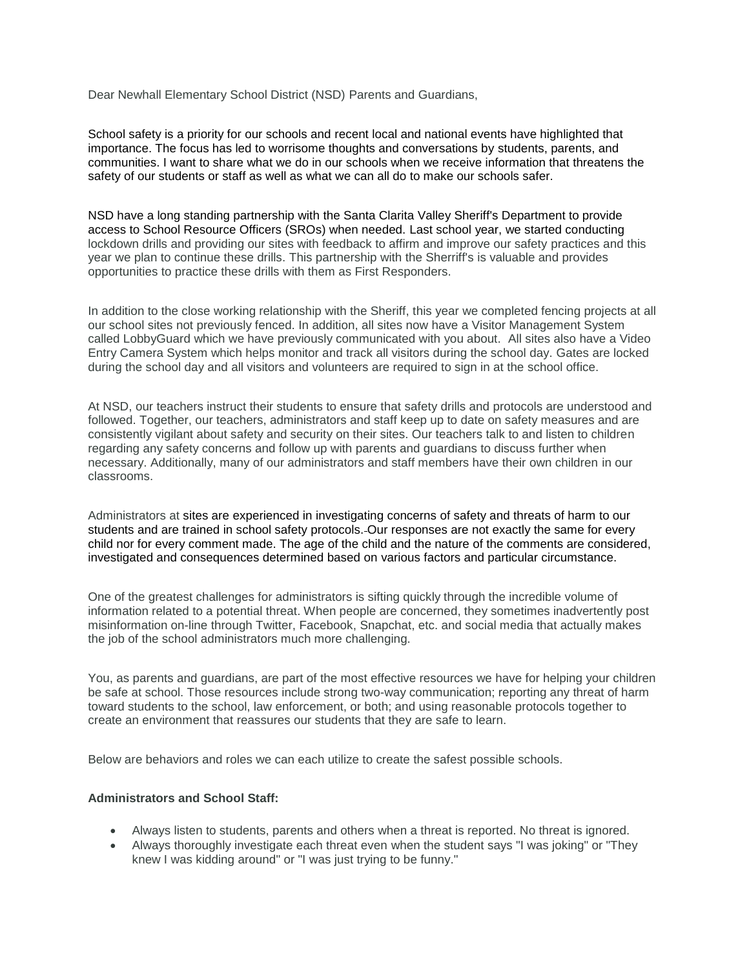Dear Newhall Elementary School District (NSD) Parents and Guardians,

School safety is a priority for our schools and recent local and national events have highlighted that importance. The focus has led to worrisome thoughts and conversations by students, parents, and communities. I want to share what we do in our schools when we receive information that threatens the safety of our students or staff as well as what we can all do to make our schools safer.

NSD have a long standing partnership with the Santa Clarita Valley Sheriff's Department to provide access to School Resource Officers (SROs) when needed. Last school year, we started conducting lockdown drills and providing our sites with feedback to affirm and improve our safety practices and this year we plan to continue these drills. This partnership with the Sherriff's is valuable and provides opportunities to practice these drills with them as First Responders.

In addition to the close working relationship with the Sheriff, this year we completed fencing projects at all our school sites not previously fenced. In addition, all sites now have a Visitor Management System called LobbyGuard which we have previously communicated with you about. All sites also have a Video Entry Camera System which helps monitor and track all visitors during the school day. Gates are locked during the school day and all visitors and volunteers are required to sign in at the school office.

At NSD, our teachers instruct their students to ensure that safety drills and protocols are understood and followed. Together, our teachers, administrators and staff keep up to date on safety measures and are consistently vigilant about safety and security on their sites. Our teachers talk to and listen to children regarding any safety concerns and follow up with parents and guardians to discuss further when necessary. Additionally, many of our administrators and staff members have their own children in our classrooms.

Administrators at sites are experienced in investigating concerns of safety and threats of harm to our students and are trained in school safety protocols. Our responses are not exactly the same for every child nor for every comment made. The age of the child and the nature of the comments are considered, investigated and consequences determined based on various factors and particular circumstance.

One of the greatest challenges for administrators is sifting quickly through the incredible volume of information related to a potential threat. When people are concerned, they sometimes inadvertently post misinformation on-line through Twitter, Facebook, Snapchat, etc. and social media that actually makes the job of the school administrators much more challenging.

You, as parents and guardians, are part of the most effective resources we have for helping your children be safe at school. Those resources include strong two-way communication; reporting any threat of harm toward students to the school, law enforcement, or both; and using reasonable protocols together to create an environment that reassures our students that they are safe to learn.

Below are behaviors and roles we can each utilize to create the safest possible schools.

## **Administrators and School Staff:**

- Always listen to students, parents and others when a threat is reported. No threat is ignored.
- Always thoroughly investigate each threat even when the student says "I was joking" or "They knew I was kidding around" or "I was just trying to be funny."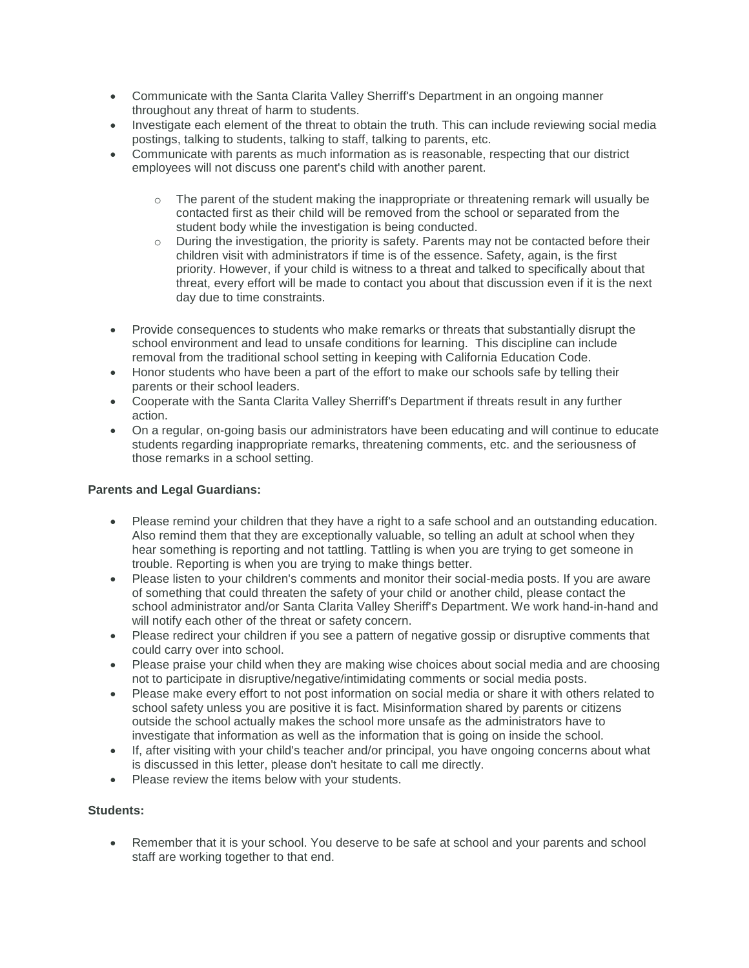- Communicate with the Santa Clarita Valley Sherriff's Department in an ongoing manner throughout any threat of harm to students.
- Investigate each element of the threat to obtain the truth. This can include reviewing social media postings, talking to students, talking to staff, talking to parents, etc.
- Communicate with parents as much information as is reasonable, respecting that our district employees will not discuss one parent's child with another parent.
	- $\circ$  The parent of the student making the inappropriate or threatening remark will usually be contacted first as their child will be removed from the school or separated from the student body while the investigation is being conducted.
	- $\circ$  During the investigation, the priority is safety. Parents may not be contacted before their children visit with administrators if time is of the essence. Safety, again, is the first priority. However, if your child is witness to a threat and talked to specifically about that threat, every effort will be made to contact you about that discussion even if it is the next day due to time constraints.
- Provide consequences to students who make remarks or threats that substantially disrupt the school environment and lead to unsafe conditions for learning. This discipline can include removal from the traditional school setting in keeping with California Education Code.
- Honor students who have been a part of the effort to make our schools safe by telling their parents or their school leaders.
- Cooperate with the Santa Clarita Valley Sherriff's Department if threats result in any further action.
- On a regular, on-going basis our administrators have been educating and will continue to educate students regarding inappropriate remarks, threatening comments, etc. and the seriousness of those remarks in a school setting.

## **Parents and Legal Guardians:**

- Please remind your children that they have a right to a safe school and an outstanding education. Also remind them that they are exceptionally valuable, so telling an adult at school when they hear something is reporting and not tattling. Tattling is when you are trying to get someone in trouble. Reporting is when you are trying to make things better.
- Please listen to your children's comments and monitor their social-media posts. If you are aware of something that could threaten the safety of your child or another child, please contact the school administrator and/or Santa Clarita Valley Sheriff's Department. We work hand-in-hand and will notify each other of the threat or safety concern.
- Please redirect your children if you see a pattern of negative gossip or disruptive comments that could carry over into school.
- Please praise your child when they are making wise choices about social media and are choosing not to participate in disruptive/negative/intimidating comments or social media posts.
- Please make every effort to not post information on social media or share it with others related to school safety unless you are positive it is fact. Misinformation shared by parents or citizens outside the school actually makes the school more unsafe as the administrators have to investigate that information as well as the information that is going on inside the school.
- If, after visiting with your child's teacher and/or principal, you have ongoing concerns about what is discussed in this letter, please don't hesitate to call me directly.
- Please review the items below with your students.

## **Students:**

 Remember that it is your school. You deserve to be safe at school and your parents and school staff are working together to that end.